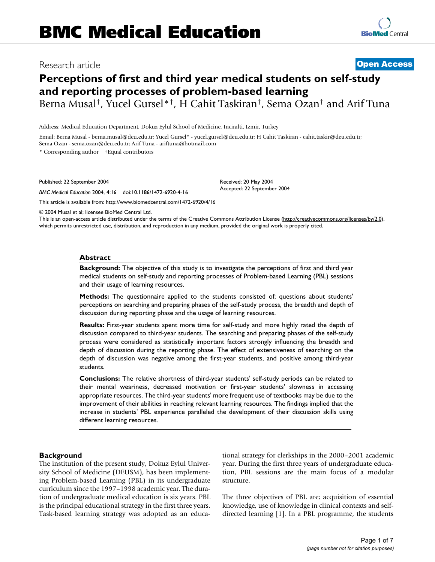# Research article **[Open Access](http://www.biomedcentral.com/info/about/charter/)**

# **Perceptions of first and third year medical students on self-study and reporting processes of problem-based learning**

Berna Musal†, Yucel Gursel\*†, H Cahit Taskiran†, Sema Ozan† and Arif Tuna

Address: Medical Education Department, Dokuz Eylul School of Medicine, Inciralti, Izmir, Turkey

Email: Berna Musal - berna.musal@deu.edu.tr; Yucel Gursel\* - yucel.gursel@deu.edu.tr; H Cahit Taskiran - cahit.taskir@deu.edu.tr; Sema Ozan - sema.ozan@deu.edu.tr; Arif Tuna - ariftuna@hotmail.com

\* Corresponding author †Equal contributors

Published: 22 September 2004

*BMC Medical Education* 2004, **4**:16 doi:10.1186/1472-6920-4-16

[This article is available from: http://www.biomedcentral.com/1472-6920/4/16](http://www.biomedcentral.com/1472-6920/4/16)

© 2004 Musal et al; licensee BioMed Central Ltd.

This is an open-access article distributed under the terms of the Creative Commons Attribution License (<http://creativecommons.org/licenses/by/2.0>), which permits unrestricted use, distribution, and reproduction in any medium, provided the original work is properly cited.

#### **Abstract**

**Background:** The objective of this study is to investigate the perceptions of first and third year medical students on self-study and reporting processes of Problem-based Learning (PBL) sessions and their usage of learning resources.

**Methods:** The questionnaire applied to the students consisted of; questions about students' perceptions on searching and preparing phases of the self-study process, the breadth and depth of discussion during reporting phase and the usage of learning resources.

**Results:** First-year students spent more time for self-study and more highly rated the depth of discussion compared to third-year students. The searching and preparing phases of the self-study process were considered as statistically important factors strongly influencing the breadth and depth of discussion during the reporting phase. The effect of extensiveness of searching on the depth of discussion was negative among the first-year students, and positive among third-year students.

**Conclusions:** The relative shortness of third-year students' self-study periods can be related to their mental weariness, decreased motivation or first-year students' slowness in accessing appropriate resources. The third-year students' more frequent use of textbooks may be due to the improvement of their abilities in reaching relevant learning resources. The findings implied that the increase in students' PBL experience paralleled the development of their discussion skills using different learning resources.

#### **Background**

The institution of the present study, Dokuz Eylul University School of Medicine (DEUSM), has been implementing Problem-based Learning (PBL) in its undergraduate curriculum since the 1997–1998 academic year. The duration of undergraduate medical education is six years. PBL is the principal educational strategy in the first three years. Task-based learning strategy was adopted as an educational strategy for clerkships in the 2000–2001 academic year. During the first three years of undergraduate education, PBL sessions are the main focus of a modular structure.

The three objectives of PBL are; acquisition of essential knowledge, use of knowledge in clinical contexts and selfdirected learning [1]. In a PBL programme, the students



Received: 20 May 2004 Accepted: 22 September 2004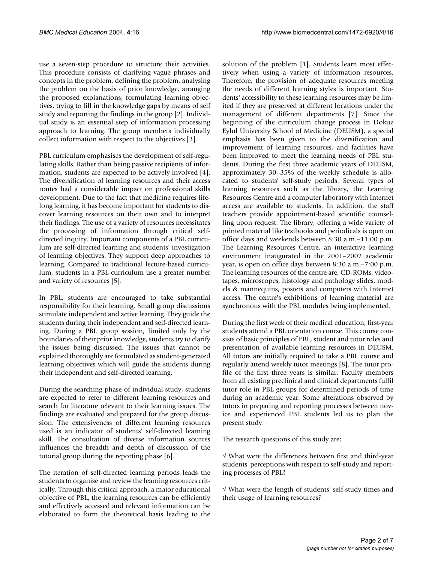use a seven-step procedure to structure their activities. This procedure consists of clarifying vague phrases and concepts in the problem, defining the problem, analysing the problem on the basis of prior knowledge, arranging the proposed explanations, formulating learning objectives, trying to fill in the knowledge gaps by means of self study and reporting the findings in the group [2]. Individual study is an essential step of information processing approach to learning. The group members individually collect information with respect to the objectives [3].

PBL curriculum emphasises the development of self-regulating skills. Rather than being passive recipients of information, students are expected to be actively involved [4]. The diversification of learning resources and their access routes had a considerable impact on professional skills development. Due to the fact that medicine requires lifelong learning, it has become important for students to discover learning resources on their own and to interpret their findings. The use of a variety of resources necessitates the processing of information through critical selfdirected inquiry. Important components of a PBL curriculum are self-directed learning and students' investigation of learning objectives. They support deep approaches to learning. Compared to traditional lecture-based curriculum, students in a PBL curriculum use a greater number and variety of resources [5].

In PBL, students are encouraged to take substantial responsibility for their learning. Small group discussions stimulate independent and active learning. They guide the students during their independent and self-directed learning. During a PBL group session, limited only by the boundaries of their prior knowledge, students try to clarify the issues being discussed. The issues that cannot be explained thoroughly are formulated as student-generated learning objectives which will guide the students during their independent and self-directed learning.

During the searching phase of individual study, students are expected to refer to different learning resources and search for literature relevant to their learning issues. The findings are evaluated and prepared for the group discussion. The extensiveness of different learning resources used is an indicator of students' self-directed learning skill. The consultation of diverse information sources influences the breadth and depth of discussion of the tutorial group during the reporting phase [6].

The iteration of self-directed learning periods leads the students to organise and review the learning resources critically. Through this critical approach, a major educational objective of PBL, the learning resources can be efficiently and effectively accessed and relevant information can be elaborated to form the theoretical basis leading to the solution of the problem [1]. Students learn most effectively when using a variety of information resources. Therefore, the provision of adequate resources meeting the needs of different learning styles is important. Students' accessibility to these learning resources may be limited if they are preserved at different locations under the management of different departments [7]. Since the beginning of the curriculum change process in Dokuz Eylul University School of Medicine (DEUSM), a special emphasis has been given to the diversification and improvement of learning resources, and facilities have been improved to meet the learning needs of PBL students. During the first three academic years of DEUSM, approximately 30–35% of the weekly schedule is allocated to students' self-study periods. Several types of learning resources such as the library, the Learning Resources Centre and a computer laboratory with Internet access are available to students. In addition, the staff teachers provide appointment-based scientific counselling upon request. The library, offering a wide variety of printed material like textbooks and periodicals is open on office days and weekends between 8:30 a.m.–11:00 p.m. The Learning Resources Centre, an interactive learning environment inaugurated in the 2001–2002 academic year, is open on office days between 8:30 a.m.–7:00 p.m. The learning resources of the centre are; CD-ROMs, videotapes, microscopes, histology and pathology slides, models & mannequins, posters and computers with Internet access. The centre's exhibitions of learning material are synchronous with the PBL modules being implemented.

During the first week of their medical education, first-year students attend a PBL orientation course. This course consists of basic principles of PBL, student and tutor roles and presentation of available learning resources in DEUSM. All tutors are initially required to take a PBL course and regularly attend weekly tutor meetings [8]. The tutor profile of the first three years is similar. Faculty members from all existing preclinical and clinical departments fulfil tutor role in PBL groups for determined periods of time during an academic year. Some alterations observed by tutors in preparing and reporting processes between novice and experienced PBL students led us to plan the present study.

The research questions of this study are;

√ What were the differences between first and third-year students' perceptions with respect to self-study and reporting processes of PBL?

√ What were the length of students' self-study times and their usage of learning resources?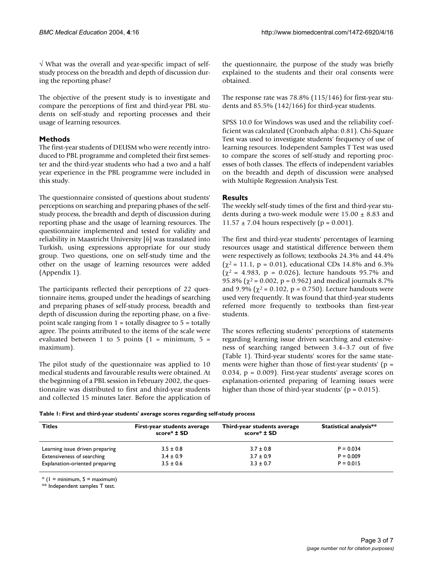√ What was the overall and year-specific impact of selfstudy process on the breadth and depth of discussion during the reporting phase?

The objective of the present study is to investigate and compare the perceptions of first and third-year PBL students on self-study and reporting processes and their usage of learning resources.

### **Methods**

The first-year students of DEUSM who were recently introduced to PBL programme and completed their first semester and the third-year students who had a two and a half year experience in the PBL programme were included in this study.

The questionnaire consisted of questions about students' perceptions on searching and preparing phases of the selfstudy process, the breadth and depth of discussion during reporting phase and the usage of learning resources. The questionnaire implemented and tested for validity and reliability in Maastricht University [6] was translated into Turkish, using expressions appropriate for our study group. Two questions, one on self-study time and the other on the usage of learning resources were added (Appendix 1).

The participants reflected their perceptions of 22 questionnaire items, grouped under the headings of searching and preparing phases of self-study process, breadth and depth of discussion during the reporting phase, on a fivepoint scale ranging from  $1 =$  totally disagree to  $5 =$  totally agree. The points attributed to the items of the scale were evaluated between 1 to 5 points ( $1 = \text{minimum}, 5 = \text{maximum}$ ) maximum).

The pilot study of the questionnaire was applied to 10 medical students and favourable results were obtained. At the beginning of a PBL session in February 2002, the questionnaire was distributed to first and third-year students and collected 15 minutes later. Before the application of the questionnaire, the purpose of the study was briefly explained to the students and their oral consents were obtained.

The response rate was 78.8% (115/146) for first-year students and 85.5% (142/166) for third-year students.

SPSS 10.0 for Windows was used and the reliability coefficient was calculated (Cronbach alpha: 0.81). Chi-Square Test was used to investigate students' frequency of use of learning resources. Independent Samples T Test was used to compare the scores of self-study and reporting processes of both classes. The effects of independent variables on the breadth and depth of discussion were analysed with Multiple Regression Analysis Test.

# **Results**

The weekly self-study times of the first and third-year students during a two-week module were  $15.00 \pm 8.83$  and  $11.57 \pm 7.04$  hours respectively (p = 0.001).

The first and third-year students' percentages of learning resources usage and statistical difference between them were respectively as follows; textbooks 24.3% and 44.4%  $(χ² = 11.1, p = 0.01)$ , educational CDs 14.8% and 6.3%  $(\chi^2 = 4.983, p = 0.026)$ , lecture handouts 95.7% and 95.8% ( $\chi^2$  = 0.002, p = 0.962) and medical journals 8.7% and 9.9% ( $\chi^2$  = 0.102, p = 0.750). Lecture handouts were used very frequently. It was found that third-year students referred more frequently to textbooks than first-year students.

The scores reflecting students' perceptions of statements regarding learning issue driven searching and extensiveness of searching ranged between 3.4–3.7 out of five (Table [1\)](#page-2-0). Third-year students' scores for the same statements were higher than those of first-year students' ( $p =$ 0.034,  $p = 0.009$ ). First-year students' average scores on explanation-oriented preparing of learning issues were higher than those of third-year students' ( $p = 0.015$ ).

<span id="page-2-0"></span>

| <b>Titles</b>                   | First-year students average<br>score $*$ $\pm$ SD | Third-year students average<br>score* ± SD | <b>Statistical analysis**</b> |
|---------------------------------|---------------------------------------------------|--------------------------------------------|-------------------------------|
| Learning issue driven preparing | $3.5 \pm 0.8$                                     | $3.7 \pm 0.8$                              | $P = 0.034$                   |
| Extensiveness of searching      | $3.4 \pm 0.9$                                     | $3.7 \pm 0.9$                              | $P = 0.009$                   |
| Explanation-oriented preparing  | $3.5 \pm 0.6$                                     | $3.3 \pm 0.7$                              | $P = 0.015$                   |

 $*(1 = \text{minimum}, 5 = \text{maximum})$ 

\*\* Independent samples T test.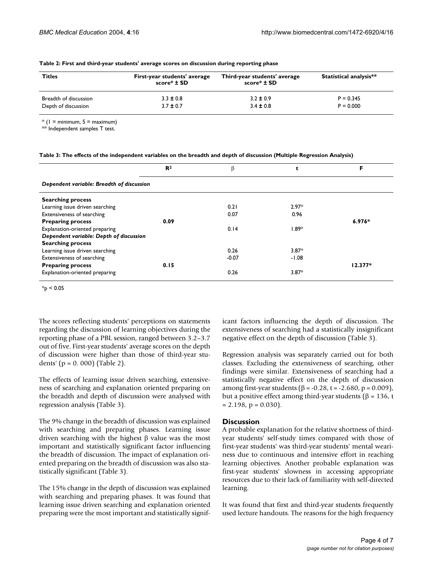| <b>Titles</b>         | First-year students' average<br>score* ± SD | Third-year students' average<br>score* ± SD | <b>Statistical analysis**</b> |
|-----------------------|---------------------------------------------|---------------------------------------------|-------------------------------|
| Breadth of discussion | $3.3 \pm 0.8$                               | $3.2 \pm 0.9$                               | $P = 0.345$                   |
| Depth of discussion   | $3.7 \pm 0.7$                               | $3.4 \pm 0.8$                               | $P = 0.000$                   |

#### <span id="page-3-0"></span>**Table 2: First and third-year students' average scores on discussion during reporting phase**

 $*$  (1 = minimum, 5 = maximum)

 $**$  Independent samples T test.

<span id="page-3-1"></span>**Table 3: The effects of the independent variables on the breadth and depth of discussion (Multiple Regression Analysis)**

|                                           | R <sup>2</sup> | β       | t       | F         |
|-------------------------------------------|----------------|---------|---------|-----------|
| Dependent variable: Breadth of discussion |                |         |         |           |
| <b>Searching process</b>                  |                |         |         |           |
| Learning issue driven searching           |                | 0.21    | $2.97*$ |           |
| Extensiveness of searching                |                | 0.07    | 0.96    |           |
| <b>Preparing process</b>                  | 0.09           |         |         | $6.976*$  |
| Explanation-oriented preparing            |                | 0.14    | $1.89*$ |           |
| Dependent variable: Depth of discussion   |                |         |         |           |
| <b>Searching process</b>                  |                |         |         |           |
| Learning issue driven searching           |                | 0.26    | $3.87*$ |           |
| Extensiveness of searching                |                | $-0.07$ | $-1.08$ |           |
| <b>Preparing process</b>                  | 0.15           |         |         | $12.377*$ |
| Explanation-oriented preparing            |                | 0.26    | $3.87*$ |           |

 $*_{p}$  < 0.05

The scores reflecting students' perceptions on statements regarding the discussion of learning objectives during the reporting phase of a PBL session, ranged between 3.2–3.7 out of five. First-year students' average scores on the depth of discussion were higher than those of third-year students' (p = 0. 000) (Table [2\)](#page-3-0).

The effects of learning issue driven searching, extensiveness of searching and explanation oriented preparing on the breadth and depth of discussion were analysed with regression analysis (Table [3](#page-3-1)).

The 9% change in the breadth of discussion was explained with searching and preparing phases. Learning issue driven searching with the highest β value was the most important and statistically significant factor influencing the breadth of discussion. The impact of explanation oriented preparing on the breadth of discussion was also statistically significant (Table [3\)](#page-3-1).

The 15% change in the depth of discussion was explained with searching and preparing phases. It was found that learning issue driven searching and explanation oriented preparing were the most important and statistically significant factors influencing the depth of discussion. The extensiveness of searching had a statistically insignificant negative effect on the depth of discussion (Table [3](#page-3-1)).

Regression analysis was separately carried out for both classes. Excluding the extensiveness of searching, other findings were similar. Extensiveness of searching had a statistically negative effect on the depth of discussion among first-year students (β = -0.28, t = -2.680, p = 0.009), but a positive effect among third-year students (β = 136, t  $= 2.198$ ,  $p = 0.030$ ).

#### **Discussion**

A probable explanation for the relative shortness of thirdyear students' self-study times compared with those of first-year students' was third-year students' mental weariness due to continuous and intensive effort in reaching learning objectives. Another probable explanation was first-year students' slowness in accessing appropriate resources due to their lack of familiarity with self-directed learning.

It was found that first and third-year students frequently used lecture handouts. The reasons for the high frequency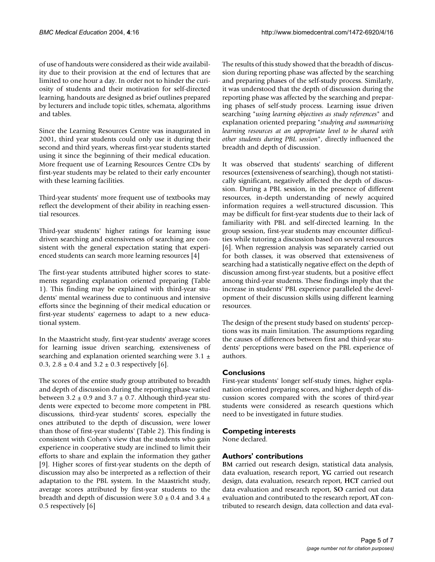of use of handouts were considered as their wide availability due to their provision at the end of lectures that are limited to one hour a day. In order not to hinder the curiosity of students and their motivation for self-directed learning, handouts are designed as brief outlines prepared by lecturers and include topic titles, schemata, algorithms and tables.

Since the Learning Resources Centre was inaugurated in 2001, third year students could only use it during their second and third years, whereas first-year students started using it since the beginning of their medical education. More frequent use of Learning Resources Centre CDs by first-year students may be related to their early encounter with these learning facilities.

Third-year students' more frequent use of textbooks may reflect the development of their ability in reaching essential resources.

Third-year students' higher ratings for learning issue driven searching and extensiveness of searching are consistent with the general expectation stating that experienced students can search more learning resources [4]

The first-year students attributed higher scores to statements regarding explanation oriented preparing (Table [1\)](#page-2-0). This finding may be explained with third-year students' mental weariness due to continuous and intensive efforts since the beginning of their medical education or first-year students' eagerness to adapt to a new educational system.

In the Maastricht study, first-year students' average scores for learning issue driven searching, extensiveness of searching and explanation oriented searching were  $3.1 \pm$ 0.3,  $2.8 \pm 0.4$  and  $3.2 \pm 0.3$  respectively [6].

The scores of the entire study group attributed to breadth and depth of discussion during the reporting phase varied between  $3.2 \pm 0.9$  and  $3.7 \pm 0.7$ . Although third-year students were expected to become more competent in PBL discussions, third-year students' scores, especially the ones attributed to the depth of discussion, were lower than those of first-year students' (Table [2](#page-3-0)). This finding is consistent with Cohen's view that the students who gain experience in cooperative study are inclined to limit their efforts to share and explain the information they gather [9]. Higher scores of first-year students on the depth of discussion may also be interpreted as a reflection of their adaptation to the PBL system. In the Maastricht study, average scores attributed by first-year students to the breadth and depth of discussion were  $3.0 \pm 0.4$  and  $3.4 \pm$ 0.5 respectively [6]

The results of this study showed that the breadth of discussion during reporting phase was affected by the searching and preparing phases of the self-study process. Similarly, it was understood that the depth of discussion during the reporting phase was affected by the searching and preparing phases of self-study process. Learning issue driven searching "*using learning objectives as study references*" and explanation oriented preparing "*studying and summarising learning resources at an appropriate level to be shared with other students during PBL session*", directly influenced the breadth and depth of discussion.

It was observed that students' searching of different resources (extensiveness of searching), though not statistically significant, negatively affected the depth of discussion. During a PBL session, in the presence of different resources, in-depth understanding of newly acquired information requires a well-structured discussion. This may be difficult for first-year students due to their lack of familiarity with PBL and self-directed learning. In the group session, first-year students may encounter difficulties while tutoring a discussion based on several resources [6]. When regression analysis was separately carried out for both classes, it was observed that extensiveness of searching had a statistically negative effect on the depth of discussion among first-year students, but a positive effect among third-year students. These findings imply that the increase in students' PBL experience paralleled the development of their discussion skills using different learning resources.

The design of the present study based on students' perceptions was its main limitation. The assumptions regarding the causes of differences between first and third-year students' perceptions were based on the PBL experience of authors.

# **Conclusions**

First-year students' longer self-study times, higher explanation oriented preparing scores, and higher depth of discussion scores compared with the scores of third-year students were considered as research questions which need to be investigated in future studies.

# **Competing interests**

None declared.

# **Authors' contributions**

**BM** carried out research design, statistical data analysis, data evaluation, research report, **YG** carried out research design, data evaluation, research report, **HCT** carried out data evaluation and research report, **SO** carried out data evaluation and contributed to the research report, **AT** contributed to research design, data collection and data eval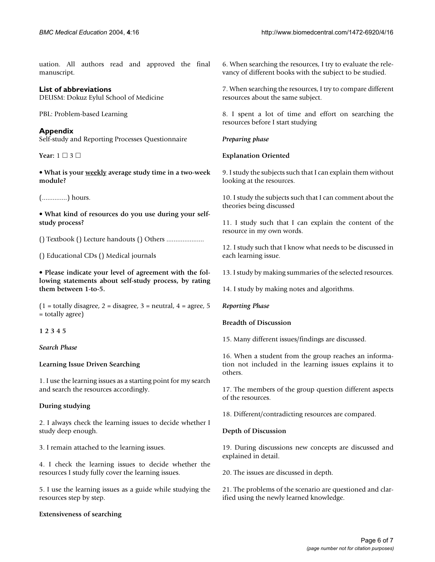uation. All authors read and approved the final manuscript.

**List of abbreviations** DEUSM: Dokuz Eylul School of Medicine

PBL: Problem-based Learning

**Appendix** Self-study and Reporting Processes Questionnaire

**Year:**  $1 \square 3 \square$ 

• **What is your weekly average study time in a two-week module?**

(..............) hours.

• **What kind of resources do you use during your selfstudy process?**

() Textbook () Lecture handouts () Others .....................

() Educational CDs () Medical journals

• **Please indicate your level of agreement with the following statements about self-study process, by rating them between 1-to-5.**

 $(1 =$  totally disagree,  $2 =$  disagree,  $3 =$  neutral,  $4 =$  agree,  $5 =$ = totally agree)

**1 2 3 4 5**

# *Search Phase*

#### **Learning Issue Driven Searching**

1. I use the learning issues as a starting point for my search and search the resources accordingly.

#### **During studying**

2. I always check the learning issues to decide whether I study deep enough.

3. I remain attached to the learning issues.

4. I check the learning issues to decide whether the resources I study fully cover the learning issues.

5. I use the learning issues as a guide while studying the resources step by step.

#### **Extensiveness of searching**

6. When searching the resources, I try to evaluate the relevancy of different books with the subject to be studied.

7. When searching the resources, I try to compare different resources about the same subject.

8. I spent a lot of time and effort on searching the resources before I start studying

*Preparing phase* 

#### **Explanation Oriented**

9. I study the subjects such that I can explain them without looking at the resources.

10. I study the subjects such that I can comment about the theories being discussed

11. I study such that I can explain the content of the resource in my own words.

12. I study such that I know what needs to be discussed in each learning issue.

13. I study by making summaries of the selected resources.

14. I study by making notes and algorithms.

#### *Reporting Phase*

#### **Breadth of Discussion**

15. Many different issues/findings are discussed.

16. When a student from the group reaches an information not included in the learning issues explains it to others.

17. The members of the group question different aspects of the resources.

18. Different/contradicting resources are compared.

#### **Depth of Discussion**

19. During discussions new concepts are discussed and explained in detail.

20. The issues are discussed in depth.

21. The problems of the scenario are questioned and clarified using the newly learned knowledge.